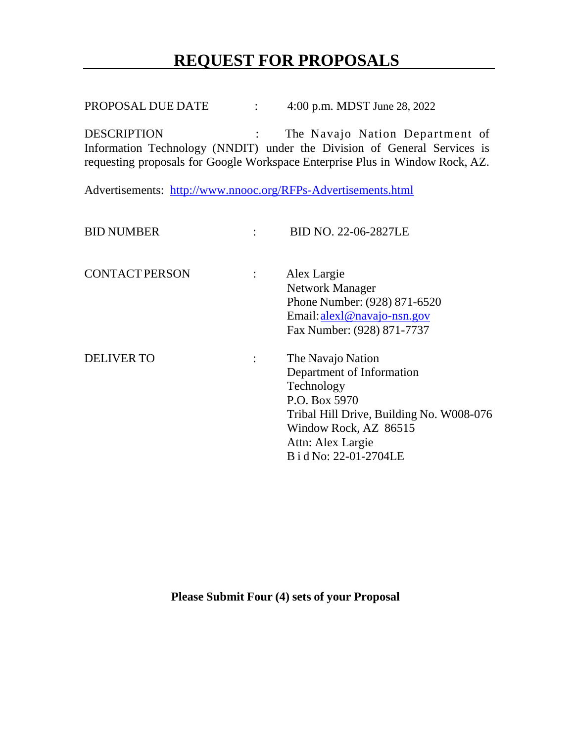# **REQUEST FOR PROPOSALS**

PROPOSAL DUE DATE : 4:00 p.m. MDST June 28, 2022

DESCRIPTION : The Navajo Nation Department of Information Technology (NNDIT) under the Division of General Services is requesting proposals for Google Workspace Enterprise Plus in Window Rock, AZ.

Advertisements: <http://www.nnooc.org/RFPs-Advertisements.html>

| <b>BID NUMBER</b>     |                | BID NO. 22-06-2827LE                                                                                                        |
|-----------------------|----------------|-----------------------------------------------------------------------------------------------------------------------------|
| <b>CONTACT PERSON</b> | $\mathbb{R}^n$ | Alex Largie<br>Network Manager<br>Phone Number: (928) 871-6520<br>Email: alex1@navajo-nsn.gov<br>Fax Number: (928) 871-7737 |
| <b>DELIVER TO</b>     | $\ddot{\cdot}$ | The Navajo Nation<br>Department of Information                                                                              |
|                       |                | Technology<br>P.O. Box 5970<br>Tribal Hill Drive, Building No. W008-076                                                     |
|                       |                | Window Rock, AZ 86515<br>Attn: Alex Largie<br>B i d No: 22-01-2704LE                                                        |

**Please Submit Four (4) sets of your Proposal**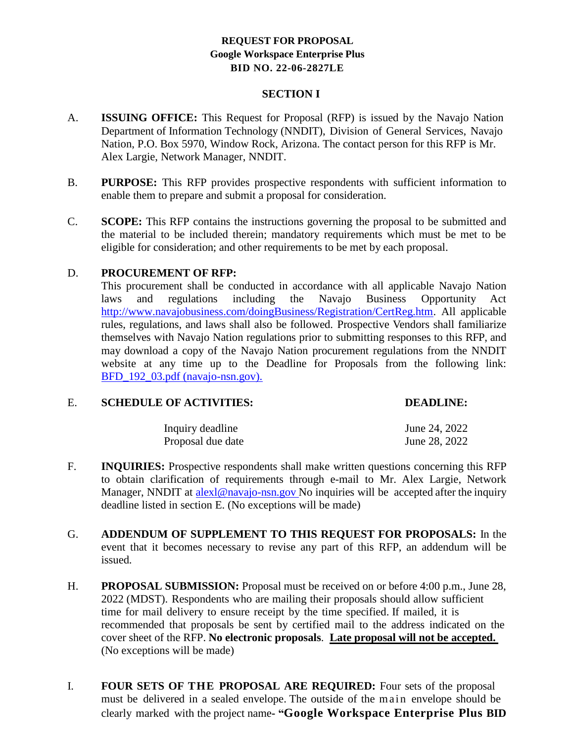#### **SECTION I**

- A. **ISSUING OFFICE:** This Request for Proposal (RFP) is issued by the Navajo Nation Department of Information Technology (NNDIT), Division of General Services, Navajo Nation, P.O. Box 5970, Window Rock, Arizona. The contact person for this RFP is Mr. Alex Largie, Network Manager, NNDIT.
- B. **PURPOSE:** This RFP provides prospective respondents with sufficient information to enable them to prepare and submit a proposal for consideration.
- C. **SCOPE:** This RFP contains the instructions governing the proposal to be submitted and the material to be included therein; mandatory requirements which must be met to be eligible for consideration; and other requirements to be met by each proposal.

#### D. **PROCUREMENT OF RFP:**

This procurement shall be conducted in accordance with all applicable Navajo Nation laws and regulations including the Navajo Business Opportunity Act [http://www.navajobusiness.com/doingBusiness/Registration/CertReg.htm.](http://www.navajobusiness.com/doingBusiness/Registration/CertReg.htm) All applicable rules, regulations, and laws shall also be followed. Prospective Vendors shall familiarize themselves with Navajo Nation regulations prior to submitting responses to this RFP, and may download a copy of the Navajo Nation procurement regulations from the NNDIT website at any time up to the Deadline for Proposals from the following link: BFD 192 03.pdf (navajo-nsn.gov).

#### E. **SCHEDULE OF ACTIVITIES: DEADLINE:**

| Inquiry deadline  | June 24, 2022 |
|-------------------|---------------|
| Proposal due date | June 28, 2022 |

- F. **INQUIRIES:** Prospective respondents shall make written questions concerning this RFP to obtain clarification of requirements through e-mail to Mr. Alex Largie, Network Manager, NNDIT at alex $\alpha$  navajo-nsn.gov No inquiries will be accepted after the inquiry deadline listed in section E. (No exceptions will be made)
- G. **ADDENDUM OF SUPPLEMENT TO THIS REQUEST FOR PROPOSALS:** In the event that it becomes necessary to revise any part of this RFP, an addendum will be issued.
- H. **PROPOSAL SUBMISSION:** Proposal must be received on or before 4:00 p.m., June 28, 2022 (MDST). Respondents who are mailing their proposals should allow sufficient time for mail delivery to ensure receipt by the time specified. If mailed, it is recommended that proposals be sent by certified mail to the address indicated on the cover sheet of the RFP. **No electronic proposals**. **Late proposal will not be accepted.** (No exceptions will be made)
- I. **FOUR SETS OF THE PROPOSAL ARE REQUIRED:** Four sets of the proposal must be delivered in a sealed envelope. The outside of the main envelope should be clearly marked with the project name**- "Google Workspace Enterprise Plus BID**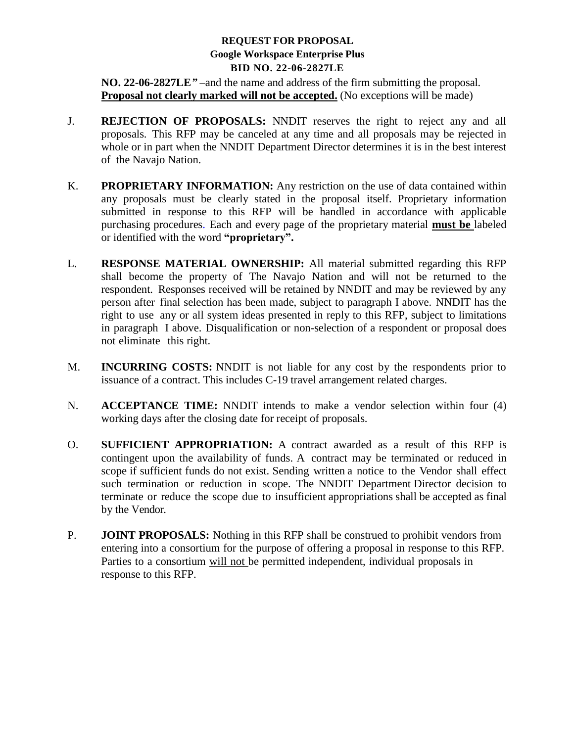**NO. 22-06-2827LE***"* –and the name and address of the firm submitting the proposal*.* **Proposal not clearly marked will not be accepted.** (No exceptions will be made)

- J. **REJECTION OF PROPOSALS:** NNDIT reserves the right to reject any and all proposals. This RFP may be canceled at any time and all proposals may be rejected in whole or in part when the NNDIT Department Director determines it is in the best interest of the Navajo Nation.
- K. **PROPRIETARY INFORMATION:** Any restriction on the use of data contained within any proposals must be clearly stated in the proposal itself. Proprietary information submitted in response to this RFP will be handled in accordance with applicable purchasing procedures. Each and every page of the proprietary material **must be** labeled or identified with the word **"proprietary".**
- L. **RESPONSE MATERIAL OWNERSHIP:** All material submitted regarding this RFP shall become the property of The Navajo Nation and will not be returned to the respondent. Responses received will be retained by NNDIT and may be reviewed by any person after final selection has been made, subject to paragraph I above. NNDIT has the right to use any or all system ideas presented in reply to this RFP, subject to limitations in paragraph I above. Disqualification or non-selection of a respondent or proposal does not eliminate this right.
- M. **INCURRING COSTS:** NNDIT is not liable for any cost by the respondents prior to issuance of a contract. This includes C-19 travel arrangement related charges.
- N. **ACCEPTANCE TIME:** NNDIT intends to make a vendor selection within four (4) working days after the closing date for receipt of proposals.
- O. **SUFFICIENT APPROPRIATION:** A contract awarded as a result of this RFP is contingent upon the availability of funds. A contract may be terminated or reduced in scope if sufficient funds do not exist. Sending written a notice to the Vendor shall effect such termination or reduction in scope. The NNDIT Department Director decision to terminate or reduce the scope due to insufficient appropriations shall be accepted as final by the Vendor.
- P. **JOINT PROPOSALS:** Nothing in this RFP shall be construed to prohibit vendors from entering into a consortium for the purpose of offering a proposal in response to this RFP. Parties to a consortium will not be permitted independent, individual proposals in response to this RFP.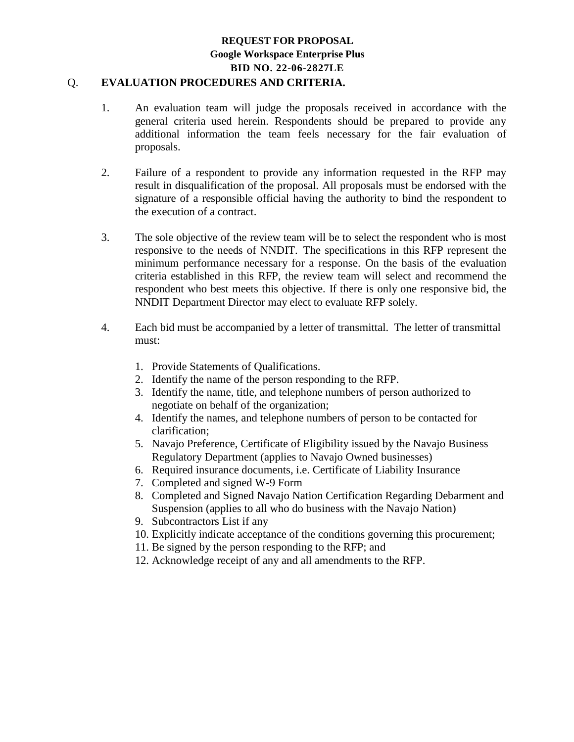#### Q. **EVALUATION PROCEDURES AND CRITERIA.**

- 1. An evaluation team will judge the proposals received in accordance with the general criteria used herein. Respondents should be prepared to provide any additional information the team feels necessary for the fair evaluation of proposals.
- 2. Failure of a respondent to provide any information requested in the RFP may result in disqualification of the proposal. All proposals must be endorsed with the signature of a responsible official having the authority to bind the respondent to the execution of a contract.
- 3. The sole objective of the review team will be to select the respondent who is most responsive to the needs of NNDIT. The specifications in this RFP represent the minimum performance necessary for a response. On the basis of the evaluation criteria established in this RFP, the review team will select and recommend the respondent who best meets this objective. If there is only one responsive bid, the NNDIT Department Director may elect to evaluate RFP solely.
- 4. Each bid must be accompanied by a letter of transmittal. The letter of transmittal must:
	- 1. Provide Statements of Qualifications.
	- 2. Identify the name of the person responding to the RFP.
	- 3. Identify the name, title, and telephone numbers of person authorized to negotiate on behalf of the organization;
	- 4. Identify the names, and telephone numbers of person to be contacted for clarification;
	- 5. Navajo Preference, Certificate of Eligibility issued by the Navajo Business Regulatory Department (applies to Navajo Owned businesses)
	- 6. Required insurance documents, i.e. Certificate of Liability Insurance
	- 7. Completed and signed W-9 Form
	- 8. Completed and Signed Navajo Nation Certification Regarding Debarment and Suspension (applies to all who do business with the Navajo Nation)
	- 9. Subcontractors List if any
	- 10. Explicitly indicate acceptance of the conditions governing this procurement;
	- 11. Be signed by the person responding to the RFP; and
	- 12. Acknowledge receipt of any and all amendments to the RFP.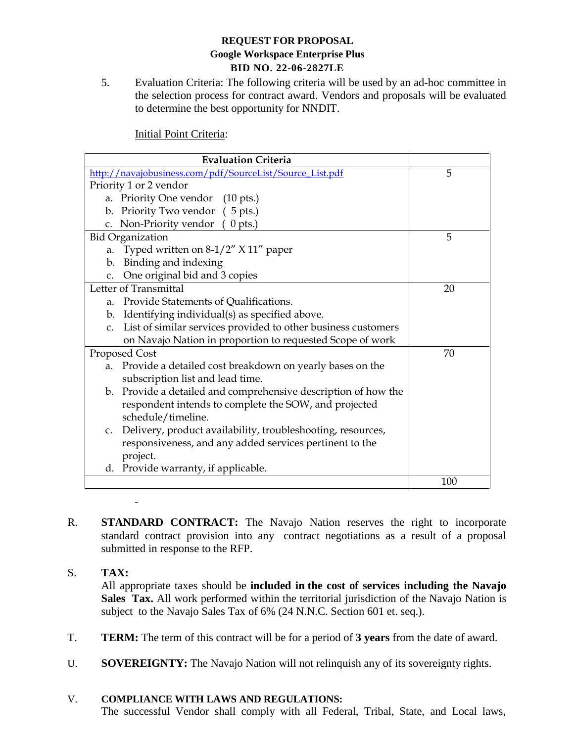5. Evaluation Criteria: The following criteria will be used by an ad-hoc committee in the selection process for contract award. Vendors and proposals will be evaluated to determine the best opportunity for NNDIT.

Initial Point Criteria:

| <b>Evaluation Criteria</b>                                                      |     |
|---------------------------------------------------------------------------------|-----|
| http://navajobusiness.com/pdf/SourceList/Source_List.pdf                        | 5   |
| Priority 1 or 2 vendor                                                          |     |
| a. Priority One vendor (10 pts.)                                                |     |
| b. Priority Two vendor (5 pts.)                                                 |     |
| c. Non-Priority vendor (0 pts.)                                                 |     |
| <b>Bid Organization</b>                                                         | 5   |
| Typed written on $8-1/2$ " $X$ 11" paper<br>a.                                  |     |
| b. Binding and indexing                                                         |     |
| c. One original bid and 3 copies                                                |     |
| Letter of Transmittal                                                           | 20  |
| a. Provide Statements of Qualifications.                                        |     |
| b. Identifying individual(s) as specified above.                                |     |
| List of similar services provided to other business customers<br>C <sub>1</sub> |     |
| on Navajo Nation in proportion to requested Scope of work                       |     |
| Proposed Cost                                                                   | 70  |
| a. Provide a detailed cost breakdown on yearly bases on the                     |     |
| subscription list and lead time.                                                |     |
| b. Provide a detailed and comprehensive description of how the                  |     |
| respondent intends to complete the SOW, and projected                           |     |
| schedule/timeline.                                                              |     |
| c. Delivery, product availability, troubleshooting, resources,                  |     |
| responsiveness, and any added services pertinent to the                         |     |
| project.                                                                        |     |
| d. Provide warranty, if applicable.                                             |     |
|                                                                                 | 100 |

- R. **STANDARD CONTRACT:** The Navajo Nation reserves the right to incorporate standard contract provision into any contract negotiations as a result of a proposal submitted in response to the RFP.
- S. **TAX:** All appropriate taxes should be **included in the cost of services including the Navajo Sales Tax.** All work performed within the territorial jurisdiction of the Navajo Nation is subject to the Navajo Sales Tax of 6% (24 N.N.C. Section 601 et. seq.).
- T. **TERM:** The term of this contract will be for a period of **3 years** from the date of award.
- U. **SOVEREIGNTY:** The Navajo Nation will not relinquish any of its sovereignty rights.

#### V. **COMPLIANCE WITH LAWS AND REGULATIONS:**

 $\bar{\phantom{a}}$ 

The successful Vendor shall comply with all Federal, Tribal, State, and Local laws,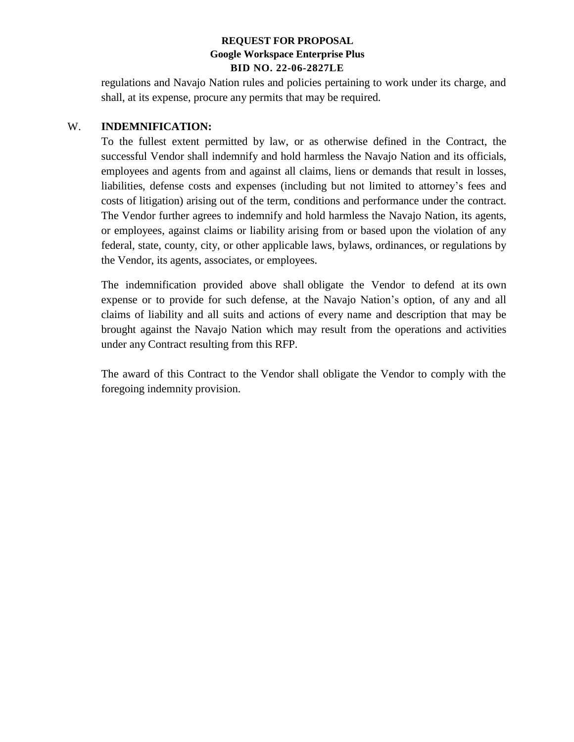regulations and Navajo Nation rules and policies pertaining to work under its charge, and shall, at its expense, procure any permits that may be required.

#### W. **INDEMNIFICATION:**

To the fullest extent permitted by law, or as otherwise defined in the Contract, the successful Vendor shall indemnify and hold harmless the Navajo Nation and its officials, employees and agents from and against all claims, liens or demands that result in losses, liabilities, defense costs and expenses (including but not limited to attorney's fees and costs of litigation) arising out of the term, conditions and performance under the contract. The Vendor further agrees to indemnify and hold harmless the Navajo Nation, its agents, or employees, against claims or liability arising from or based upon the violation of any federal, state, county, city, or other applicable laws, bylaws, ordinances, or regulations by the Vendor, its agents, associates, or employees.

The indemnification provided above shall obligate the Vendor to defend at its own expense or to provide for such defense, at the Navajo Nation's option, of any and all claims of liability and all suits and actions of every name and description that may be brought against the Navajo Nation which may result from the operations and activities under any Contract resulting from this RFP.

The award of this Contract to the Vendor shall obligate the Vendor to comply with the foregoing indemnity provision.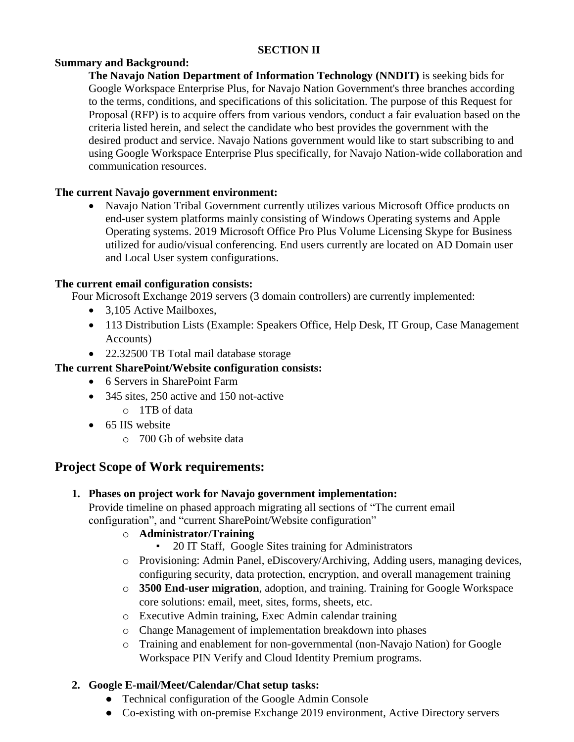#### **SECTION II**

#### **Summary and Background:**

**The Navajo Nation Department of Information Technology (NNDIT)** is seeking bids for Google Workspace Enterprise Plus, for Navajo Nation Government's three branches according to the terms, conditions, and specifications of this solicitation. The purpose of this Request for Proposal (RFP) is to acquire offers from various vendors, conduct a fair evaluation based on the criteria listed herein, and select the candidate who best provides the government with the desired product and service. Navajo Nations government would like to start subscribing to and using Google Workspace Enterprise Plus specifically, for Navajo Nation-wide collaboration and communication resources.

### **The current Navajo government environment:**

 Navajo Nation Tribal Government currently utilizes various Microsoft Office products on end-user system platforms mainly consisting of Windows Operating systems and Apple Operating systems. 2019 Microsoft Office Pro Plus Volume Licensing Skype for Business utilized for audio/visual conferencing. End users currently are located on AD Domain user and Local User system configurations.

#### **The current email configuration consists:**

Four Microsoft Exchange 2019 servers (3 domain controllers) are currently implemented:

- 3,105 Active Mailboxes,
- 113 Distribution Lists (Example: Speakers Office, Help Desk, IT Group, Case Management Accounts)
- 22.32500 TB Total mail database storage

### **The current SharePoint/Website configuration consists:**

- 6 Servers in SharePoint Farm
- 345 sites, 250 active and 150 not-active
	- o 1TB of data
- 65 IIS website
	- o 700 Gb of website data

# **Project Scope of Work requirements:**

**1. Phases on project work for Navajo government implementation:**

Provide timeline on phased approach migrating all sections of "The current email configuration", and "current SharePoint/Website configuration"

- o **Administrator/Training**
	- 20 IT Staff, Google Sites training for Administrators
- o Provisioning: Admin Panel, eDiscovery/Archiving, Adding users, managing devices, configuring security, data protection, encryption, and overall management training
- o **3500 End-user migration**, adoption, and training. Training for Google Workspace core solutions: email, meet, sites, forms, sheets, etc.
- o Executive Admin training, Exec Admin calendar training
- o Change Management of implementation breakdown into phases
- o Training and enablement for non-governmental (non-Navajo Nation) for Google Workspace PIN Verify and Cloud Identity Premium programs.

### **2. Google E-mail/Meet/Calendar/Chat setup tasks:**

- Technical configuration of the Google Admin Console
- Co-existing with on-premise Exchange 2019 environment, Active Directory servers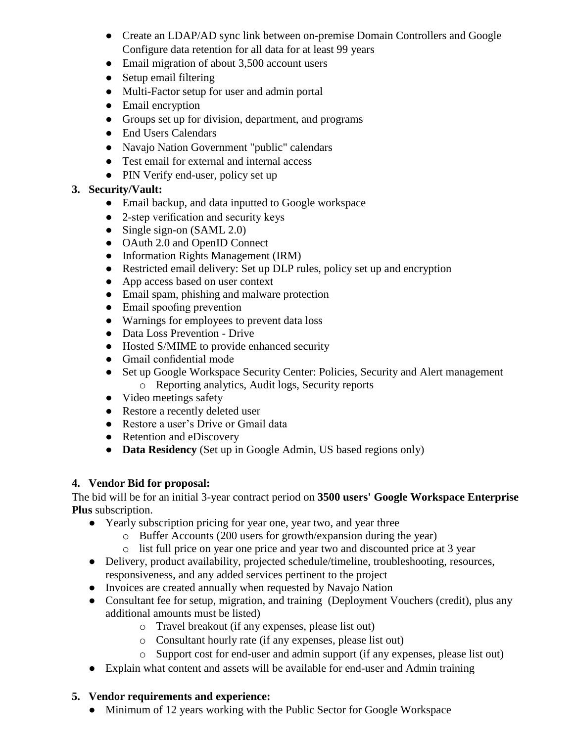- Create an LDAP/AD sync link between on-premise Domain Controllers and Google Configure data retention for all data for at least 99 years
- Email migration of about 3,500 account users
- Setup email filtering
- Multi-Factor setup for user and admin portal
- Email encryption
- Groups set up for division, department, and programs
- End Users Calendars
- Navajo Nation Government "public" calendars
- Test email for external and internal access
- PIN Verify end-user, policy set up

# **3. Security/Vault:**

- Email backup, and data inputted to Google workspace
- 2-step verification and security keys
- Single sign-on (SAML 2.0)
- OAuth 2.0 and OpenID Connect
- Information Rights Management (IRM)
- Restricted email delivery: Set up DLP rules, policy set up and encryption
- App access based on user context
- Email spam, phishing and malware protection
- Email spoofing prevention
- Warnings for employees to prevent data loss
- Data Loss Prevention Drive
- Hosted S/MIME to provide enhanced security
- Gmail confidential mode
- Set up Google Workspace Security Center: Policies, Security and Alert management o Reporting analytics, Audit logs, Security reports
- Video meetings safety
- Restore a recently deleted user
- Restore a user's Drive or Gmail data
- Retention and eDiscovery
- **Data Residency** (Set up in Google Admin, US based regions only)

# **4. Vendor Bid for proposal:**

The bid will be for an initial 3-year contract period on **3500 users' Google Workspace Enterprise Plus** subscription.

- Yearly subscription pricing for year one, year two, and year three
	- o Buffer Accounts (200 users for growth/expansion during the year)
	- o list full price on year one price and year two and discounted price at 3 year
- Delivery, product availability, projected schedule/timeline, troubleshooting, resources, responsiveness, and any added services pertinent to the project
- Invoices are created annually when requested by Navajo Nation
- Consultant fee for setup, migration, and training (Deployment Vouchers (credit), plus any additional amounts must be listed)
	- o Travel breakout (if any expenses, please list out)
	- o Consultant hourly rate (if any expenses, please list out)
	- o Support cost for end-user and admin support (if any expenses, please list out)
- Explain what content and assets will be available for end-user and Admin training

# **5. Vendor requirements and experience:**

• Minimum of 12 years working with the Public Sector for Google Workspace